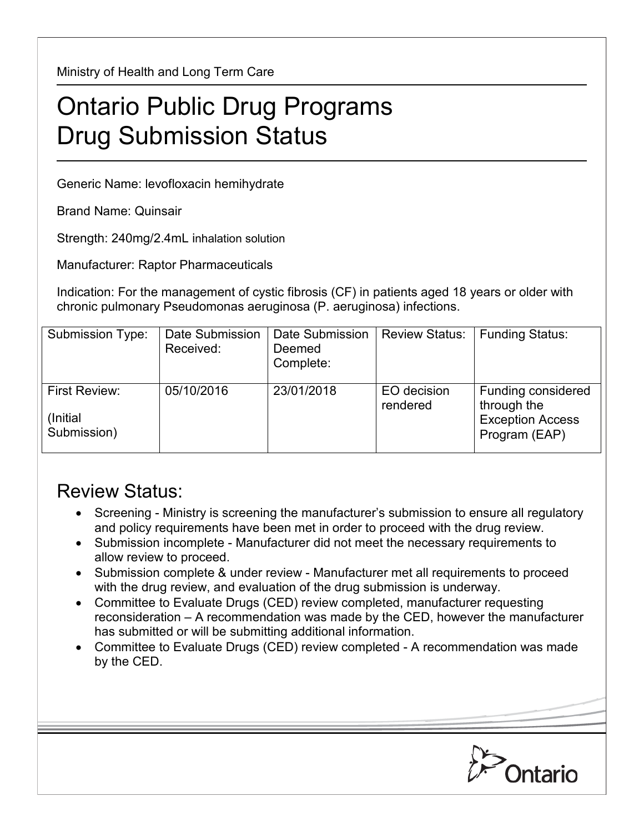Ministry of Health and Long Term Care

## Ontario Public Drug Programs Drug Submission Status

Generic Name: levofloxacin hemihydrate

Brand Name: Quinsair

Strength: 240mg/2.4mL inhalation solution

Manufacturer: Raptor Pharmaceuticals

Indication: For the management of cystic fibrosis (CF) in patients aged 18 years or older with chronic pulmonary Pseudomonas aeruginosa (P. aeruginosa) infections.

| Submission Type:                         | Date Submission<br>Received: | Date Submission<br>Deemed<br>Complete: | <b>Review Status:</b>   | <b>Funding Status:</b>                                                        |
|------------------------------------------|------------------------------|----------------------------------------|-------------------------|-------------------------------------------------------------------------------|
| First Review:<br>(Initial<br>Submission) | 05/10/2016                   | 23/01/2018                             | EO decision<br>rendered | Funding considered<br>through the<br><b>Exception Access</b><br>Program (EAP) |

## Review Status:

- Screening Ministry is screening the manufacturer's submission to ensure all regulatory and policy requirements have been met in order to proceed with the drug review.
- Submission incomplete Manufacturer did not meet the necessary requirements to allow review to proceed.
- Submission complete & under review Manufacturer met all requirements to proceed with the drug review, and evaluation of the drug submission is underway.
- Committee to Evaluate Drugs (CED) review completed, manufacturer requesting reconsideration – A recommendation was made by the CED, however the manufacturer has submitted or will be submitting additional information.
- Committee to Evaluate Drugs (CED) review completed A recommendation was made by the CED.